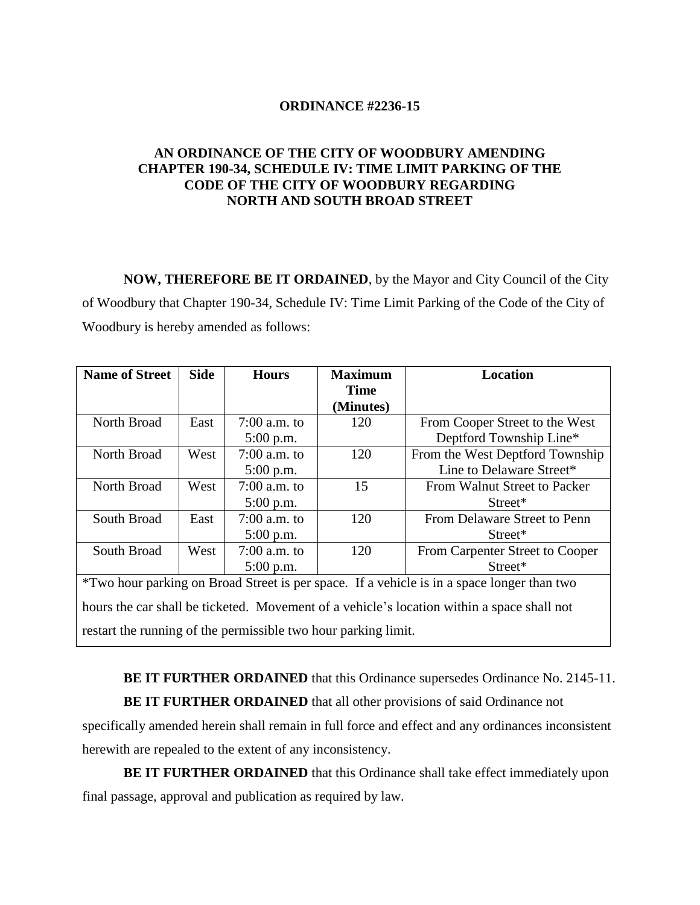## **ORDINANCE #2236-15**

## **AN ORDINANCE OF THE CITY OF WOODBURY AMENDING CHAPTER 190-34, SCHEDULE IV: TIME LIMIT PARKING OF THE CODE OF THE CITY OF WOODBURY REGARDING NORTH AND SOUTH BROAD STREET**

**NOW, THEREFORE BE IT ORDAINED**, by the Mayor and City Council of the City of Woodbury that Chapter 190-34, Schedule IV: Time Limit Parking of the Code of the City of Woodbury is hereby amended as follows:

| <b>Name of Street</b>                                                                      | <b>Side</b> | <b>Hours</b>   | <b>Maximum</b> | <b>Location</b>                 |
|--------------------------------------------------------------------------------------------|-------------|----------------|----------------|---------------------------------|
|                                                                                            |             |                | <b>Time</b>    |                                 |
|                                                                                            |             |                | (Minutes)      |                                 |
| North Broad                                                                                | East        | 7:00 a.m. to   | 120            | From Cooper Street to the West  |
|                                                                                            |             | $5:00$ p.m.    |                | Deptford Township Line*         |
| North Broad                                                                                | West        | $7:00$ a.m. to | 120            | From the West Deptford Township |
|                                                                                            |             | $5:00$ p.m.    |                | Line to Delaware Street*        |
| North Broad                                                                                | West        | 7:00 a.m. to   | 15             | From Walnut Street to Packer    |
|                                                                                            |             | $5:00$ p.m.    |                | $Street^*$                      |
| South Broad                                                                                | East        | $7:00$ a.m. to | 120            | From Delaware Street to Penn    |
|                                                                                            |             | $5:00$ p.m.    |                | Street*                         |
| South Broad                                                                                | West        | $7:00$ a.m. to | 120            | From Carpenter Street to Cooper |
|                                                                                            |             | 5:00 p.m.      |                | Street*                         |
| *Two hour parking on Broad Street is per space. If a vehicle is in a space longer than two |             |                |                |                                 |
| hours the car shall be ticketed. Movement of a vehicle's location within a space shall not |             |                |                |                                 |
| restart the running of the permissible two hour parking limit.                             |             |                |                |                                 |

**BE IT FURTHER ORDAINED** that this Ordinance supersedes Ordinance No. 2145-11. **BE IT FURTHER ORDAINED** that all other provisions of said Ordinance not

specifically amended herein shall remain in full force and effect and any ordinances inconsistent herewith are repealed to the extent of any inconsistency.

**BE IT FURTHER ORDAINED** that this Ordinance shall take effect immediately upon final passage, approval and publication as required by law.